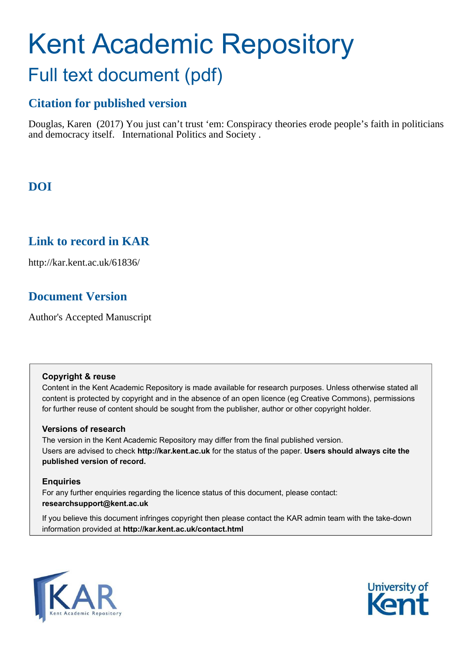# Kent Academic Repository Full text document (pdf)

## **Citation for published version**

Douglas, Karen (2017) You just can't trust 'em: Conspiracy theories erode people's faith in politicians and democracy itself. International Politics and Society .

# **DOI**

## **Link to record in KAR**

http://kar.kent.ac.uk/61836/

## **Document Version**

Author's Accepted Manuscript

### **Copyright & reuse**

Content in the Kent Academic Repository is made available for research purposes. Unless otherwise stated all content is protected by copyright and in the absence of an open licence (eg Creative Commons), permissions for further reuse of content should be sought from the publisher, author or other copyright holder.

### **Versions of research**

The version in the Kent Academic Repository may differ from the final published version. Users are advised to check **http://kar.kent.ac.uk** for the status of the paper. **Users should always cite the published version of record.**

### **Enquiries**

For any further enquiries regarding the licence status of this document, please contact: **researchsupport@kent.ac.uk**

If you believe this document infringes copyright then please contact the KAR admin team with the take-down information provided at **http://kar.kent.ac.uk/contact.html**



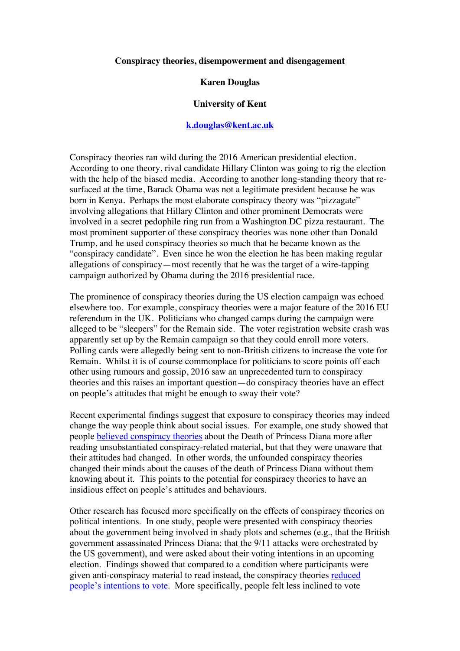#### **Conspiracy theories, disempowerment and disengagement**

#### **Karen Douglas**

## **University of Kent**

## **k.douglas@kent.ac.uk**

Conspiracy theories ran wild during the 2016 American presidential election. According to one theory, rival candidate Hillary Clinton was going to rig the election with the help of the biased media. According to another long-standing theory that resurfaced at the time, Barack Obama was not a legitimate president because he was born in Kenya. Perhaps the most elaborate conspiracy theory was "pizzagate" involving allegations that Hillary Clinton and other prominent Democrats were involved in a secret pedophile ring run from a Washington DC pizza restaurant. The most prominent supporter of these conspiracy theories was none other than Donald Trump, and he used conspiracy theories so much that he became known as the "conspiracy candidate". Even since he won the election he has been making regular allegations of conspiracy—most recently that he was the target of a wire-tapping campaign authorized by Obama during the 2016 presidential race.

The prominence of conspiracy theories during the US election campaign was echoed elsewhere too. For example, conspiracy theories were a major feature of the 2016 EU referendum in the UK. Politicians who changed camps during the campaign were alleged to be "sleepers" for the Remain side. The voter registration website crash was apparently set up by the Remain campaign so that they could enroll more voters. Polling cards were allegedly being sent to non-British citizens to increase the vote for Remain. Whilst it is of course commonplace for politicians to score points off each other using rumours and gossip, 2016 saw an unprecedented turn to conspiracy theories and this raises an important question—do conspiracy theories have an effect on people's attitudes that might be enough to sway their vote?

Recent experimental findings suggest that exposure to conspiracy theories may indeed change the way people think about social issues. For example, one study showed that people believed conspiracy theories about the Death of Princess Diana more after reading unsubstantiated conspiracy-related material, but that they were unaware that their attitudes had changed. In other words, the unfounded conspiracy theories changed their minds about the causes of the death of Princess Diana without them knowing about it. This points to the potential for conspiracy theories to have an insidious effect on people's attitudes and behaviours.

Other research has focused more specifically on the effects of conspiracy theories on political intentions. In one study, people were presented with conspiracy theories about the government being involved in shady plots and schemes (e.g., that the British government assassinated Princess Diana; that the 9/11 attacks were orchestrated by the US government), and were asked about their voting intentions in an upcoming election. Findings showed that compared to a condition where participants were given anti-conspiracy material to read instead, the conspiracy theories reduced people's intentions to vote. More specifically, people felt less inclined to vote